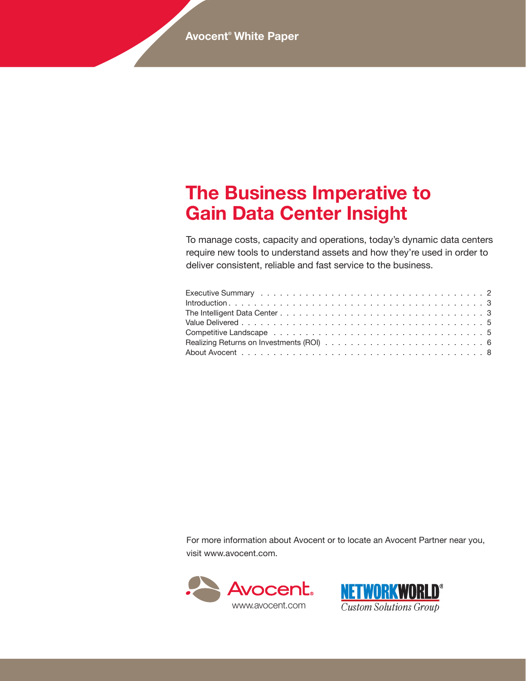# **The Business Imperative to Gain Data Center Insight**

To manage costs, capacity and operations, today's dynamic data centers require new tools to understand assets and how they're used in order to deliver consistent, reliable and fast service to the business.

For more information about Avocent or to locate an Avocent Partner near you, visit www.avocent.com.



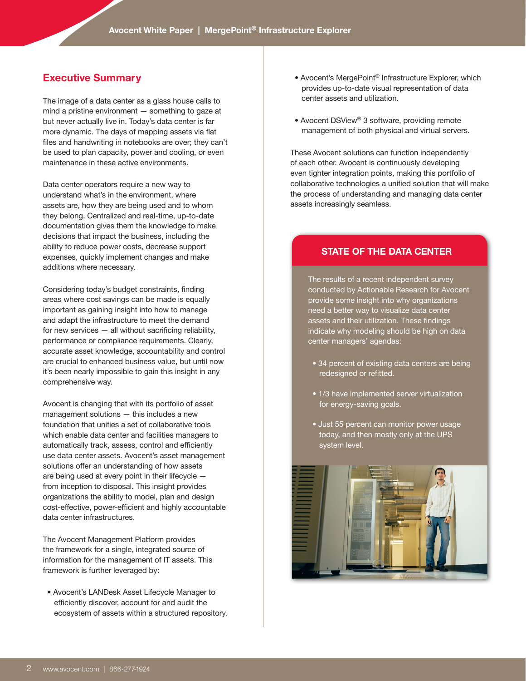# **Executive Summary**

The image of a data center as a glass house calls to mind a pristine environment — something to gaze at but never actually live in. Today's data center is far more dynamic. The days of mapping assets via flat files and handwriting in notebooks are over; they can't be used to plan capacity, power and cooling, or even maintenance in these active environments.

Data center operators require a new way to understand what's in the environment, where assets are, how they are being used and to whom they belong. Centralized and real-time, up-to-date documentation gives them the knowledge to make decisions that impact the business, including the ability to reduce power costs, decrease support expenses, quickly implement changes and make additions where necessary.

Considering today's budget constraints, finding areas where cost savings can be made is equally important as gaining insight into how to manage and adapt the infrastructure to meet the demand for new services — all without sacrificing reliability, performance or compliance requirements. Clearly, accurate asset knowledge, accountability and control are crucial to enhanced business value, but until now it's been nearly impossible to gain this insight in any comprehensive way.

Avocent is changing that with its portfolio of asset management solutions — this includes a new foundation that unifies a set of collaborative tools which enable data center and facilities managers to automatically track, assess, control and efficiently use data center assets. Avocent's asset management solutions offer an understanding of how assets are being used at every point in their lifecycle from inception to disposal. This insight provides organizations the ability to model, plan and design cost-effective, power-efficient and highly accountable data center infrastructures.

The Avocent Management Platform provides the framework for a single, integrated source of information for the management of IT assets. This framework is further leveraged by:

• Avocent's LANDesk Asset Lifecycle Manager to efficiently discover, account for and audit the ecosystem of assets within a structured repository.

- Avocent's MergePoint® Infrastructure Explorer, which provides up-to-date visual representation of data center assets and utilization.
- Avocent DSView® 3 software, providing remote management of both physical and virtual servers.

These Avocent solutions can function independently of each other. Avocent is continuously developing even tighter integration points, making this portfolio of collaborative technologies a unified solution that will make the process of understanding and managing data center assets increasingly seamless.

# **State of the Data Center**

The results of a recent independent survey conducted by Actionable Research for Avocent provide some insight into why organizations need a better way to visualize data center assets and their utilization. These findings indicate why modeling should be high on data center managers' agendas:

- 34 percent of existing data centers are being redesigned or refitted.
- 1/3 have implemented server virtualization for energy-saving goals.
- Just 55 percent can monitor power usage today, and then mostly only at the UPS system level.

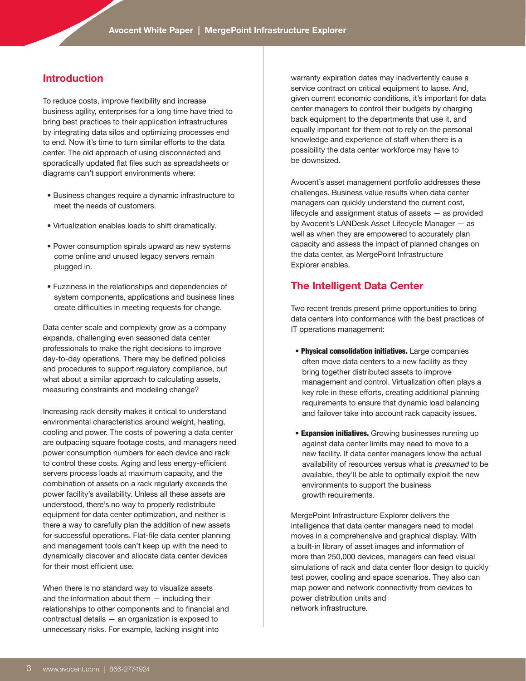# **Introduction**

To reduce costs, improve flexibility and increase business agility, enterprises for a long time have tried to bring best practices to their application infrastructures by integrating data silos and optimizing processes end to end. Now it's time to turn similar efforts to the data center. The old approach of using disconnected and sporadically updated flat files such as spreadsheets or diagrams can't support environments where:

- Business changes require a dynamic infrastructure to meet the needs of customers.
- Virtualization enables loads to shift dramatically.
- Power consumption spirals upward as new systems come online and unused legacy servers remain plugged in.
- Fuzziness in the relationships and dependencies of system components, applications and business lines create difficulties in meeting requests for change.

Data center scale and complexity grow as a company expands, challenging even seasoned data center professionals to make the right decisions to improve day-to-day operations. There may be defined policies and procedures to support regulatory compliance, but what about a similar approach to calculating assets, measuring constraints and modeling change?

Increasing rack density makes it critical to understand environmental characteristics around weight, heating, cooling and power. The costs of powering a data center are outpacing square footage costs, and managers need power consumption numbers for each device and rack to control these costs. Aging and less energy-efficient servers process loads at maximum capacity, and the combination of assets on a rack regularly exceeds the power facility's availability. Unless all these assets are understood, there's no way to properly redistribute equipment for data center optimization, and neither is there a way to carefully plan the addition of new assets for successful operations. Flat-file data center planning and management tools can't keep up with the need to dynamically discover and allocate data center devices for their most efficient use.

When there is no standard way to visualize assets and the information about them — including their relationships to other components and to financial and contractual details — an organization is exposed to unnecessary risks. For example, lacking insight into

warranty expiration dates may inadvertently cause a service contract on critical equipment to lapse. And, given current economic conditions, it's important for data center managers to control their budgets by charging back equipment to the departments that use it, and equally important for them not to rely on the personal knowledge and experience of staff when there is a possibility the data center workforce may have to be downsized.

Avocent's asset management portfolio addresses these challenges. Business value results when data center managers can quickly understand the current cost, lifecycle and assignment status of assets — as provided by Avocent's LANDesk Asset Lifecycle Manager — as well as when they are empowered to accurately plan capacity and assess the impact of planned changes on the data center, as MergePoint Infrastructure Explorer enables.

# **The Intelligent Data Center**

Two recent trends present prime opportunities to bring data centers into conformance with the best practices of IT operations management:

- Physical consolidation initiatives. Large companies often move data centers to a new facility as they bring together distributed assets to improve management and control. Virtualization often plays a key role in these efforts, creating additional planning requirements to ensure that dynamic load balancing and failover take into account rack capacity issues.
- **Expansion initiatives.** Growing businesses running up against data center limits may need to move to a new facility. If data center managers know the actual availability of resources versus what is *presumed* to be available, they'll be able to optimally exploit the new environments to support the business growth requirements.

MergePoint Infrastructure Explorer delivers the intelligence that data center managers need to model moves in a comprehensive and graphical display. With a built-in library of asset images and information of more than 250,000 devices, managers can feed visual simulations of rack and data center floor design to quickly test power, cooling and space scenarios. They also can map power and network connectivity from devices to power distribution units and network infrastructure.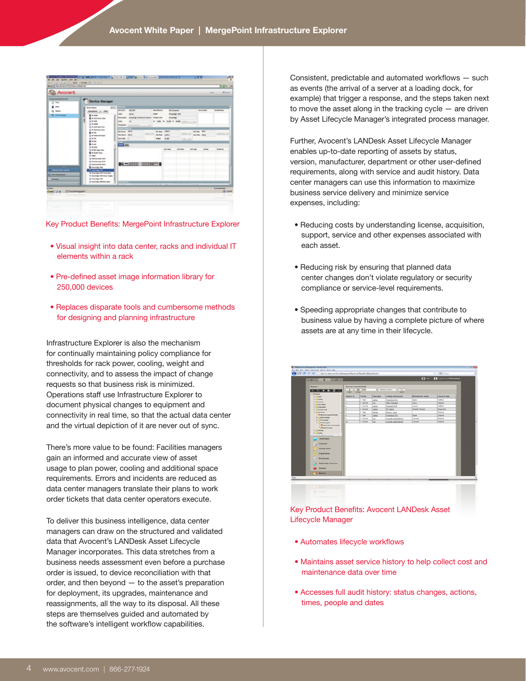



- Visual insight into data center, racks and individual IT elements within a rack
- Pre-defined asset image information library for 250,000 devices
- Replaces disparate tools and cumbersome methods for designing and planning infrastructure

Infrastructure Explorer is also the mechanism for continually maintaining policy compliance for thresholds for rack power, cooling, weight and connectivity, and to assess the impact of change requests so that business risk is minimized. Operations staff use Infrastructure Explorer to document physical changes to equipment and connectivity in real time, so that the actual data center and the virtual depiction of it are never out of sync.

There's more value to be found: Facilities managers gain an informed and accurate view of asset usage to plan power, cooling and additional space requirements. Errors and incidents are reduced as data center managers translate their plans to work order tickets that data center operators execute.

To deliver this business intelligence, data center managers can draw on the structured and validated data that Avocent's LANDesk Asset Lifecycle Manager incorporates. This data stretches from a business needs assessment even before a purchase order is issued, to device reconciliation with that order, and then beyond — to the asset's preparation for deployment, its upgrades, maintenance and reassignments, all the way to its disposal. All these steps are themselves guided and automated by the software's intelligent workflow capabilities.

Consistent, predictable and automated workflows — such as events (the arrival of a server at a loading dock, for example) that trigger a response, and the steps taken next to move the asset along in the tracking cycle — are driven by Asset Lifecycle Manager's integrated process manager.

Further, Avocent's LANDesk Asset Lifecycle Manager enables up-to-date reporting of assets by status, version, manufacturer, department or other user-defined requirements, along with service and audit history. Data center managers can use this information to maximize business service delivery and minimize service expenses, including:

- Reducing costs by understanding license, acquisition, support, service and other expenses associated with each asset.
- Reducing risk by ensuring that planned data center changes don't violate regulatory or security compliance or service-level requirements.
- Speeding appropriate changes that contribute to business value by having a complete picture of where assets are at any time in their lifecycle.

|                                                                          |                           |               |                   |                              |                          | One Of Sight                       |
|--------------------------------------------------------------------------|---------------------------|---------------|-------------------|------------------------------|--------------------------|------------------------------------|
| $\overline{a}$<br>$\alpha$                                               |                           |               |                   |                              | $\mathbf{O} =$           | <b>CO</b> Logard in an WSF(mehanip |
| Reports                                                                  | All panet request details |               |                   |                              |                          |                                    |
|                                                                          | <b>A</b> I am you         |               |                   | P. - Select a column- v ( Q. |                          |                                    |
| <b><i>CONTINUES</i> CALL AND </b>                                        | <b>Georgia</b>            | <b>Single</b> |                   |                              |                          |                                    |
| <b>Different</b>                                                         |                           |               |                   |                              | <b>Manufacturer</b> name |                                    |
| <b>In Cheese</b>                                                         | Instance ID               | Priceity      | <b>Asset type</b> | Catalog series name          |                          | Lifecycle state                    |
| <b><i>In China</i></b><br><b><i><i>i</i></i></b> Oferest                 |                           | 2.16%         | Lastro            | <b>Pawerbook Pro</b>         | Apple                    | Fullbad                            |
| <b><i>I-Otetrans</i></b>                                                 | a                         | 3 - Normal    | <b>CAN</b>        | Office Standard              | Sena                     | Onlined                            |
| il Objetister                                                            | ×                         | 3 - Normal    | Lastop            | Thinhoad 74 th               | Lening                   | <b>Fullbud</b>                     |
| <b><i>Distantial</i></b>                                                 | s                         | 3 - Normal    | Listop            | <b>HELANG</b>                | <b>Healatt Packard</b>   | Requested                          |
| <b>Charles</b>                                                           |                           | $2 - 16$ gh   | Menter            | Mentar - Jarge               |                          | Ordered                            |
| - The Ad areas of response delivery                                      | ×                         | 2.198p        | Lastra            | <b>Constool</b> , Pra        | Apple                    | Ordered                            |
| <b>D-</b> Seat nange                                                     | n                         | 3 - Normal    | Tax               | Lexmark appeal demon         | Learnach                 | Onlined                            |
| <b>IF LIT tehnism</b><br><b>District apet</b>                            | 33                        | 3 - Normal    | Eas               | Lexman, speed demon          | Leunark                  | Oxfored                            |
| <b>Annet types</b><br>Contracts<br><b>Catalog items</b><br>Criganization |                           |               |                   |                              |                          |                                    |
| <b>Purchasing</b><br><b>Supporting resources</b><br><b>Vendore</b>       |                           |               |                   |                              |                          |                                    |

Key Product Benefits: Avocent LANDesk Asset Lifecycle Manager

- Automates lifecycle workflows
- Maintains asset service history to help collect cost and maintenance data over time
- Accesses full audit history: status changes, actions, times, people and dates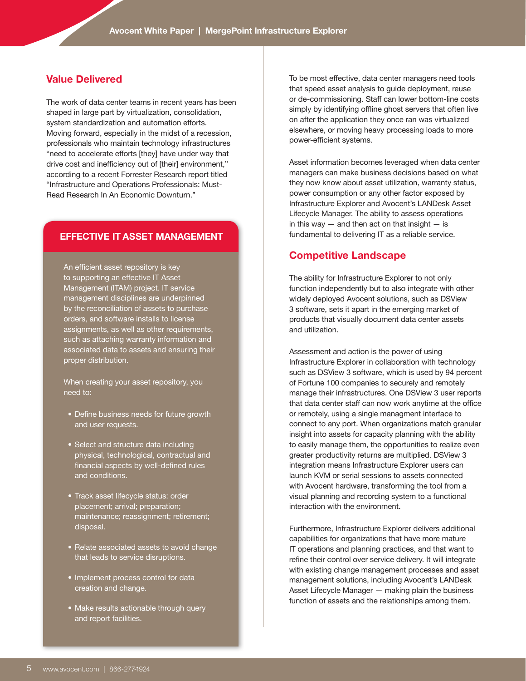## **Value Delivered**

The work of data center teams in recent years has been shaped in large part by virtualization, consolidation, system standardization and automation efforts. Moving forward, especially in the midst of a recession, professionals who maintain technology infrastructures "need to accelerate efforts [they] have under way that drive cost and inefficiency out of [their] environment," according to a recent Forrester Research report titled "Infrastructure and Operations Professionals: Must-Read Research In An Economic Downturn."

#### **Effective it asset management**

An efficient asset repository is key to supporting an effective IT Asset Management (ITAM) project. IT service management disciplines are underpinned by the reconciliation of assets to purchase orders, and software installs to license assignments, as well as other requirements, such as attaching warranty information and associated data to assets and ensuring their proper distribution.

When creating your asset repository, you need to:

- Define business needs for future growth and user requests.
- Select and structure data including physical, technological, contractual and financial aspects by well-defined rules and conditions.
- Track asset lifecycle status: order placement; arrival; preparation; maintenance; reassignment; retirement; disposal.
- Relate associated assets to avoid change that leads to service disruptions.
- Implement process control for data creation and change.
- Make results actionable through query and report facilities.

To be most effective, data center managers need tools that speed asset analysis to guide deployment, reuse or de-commissioning. Staff can lower bottom-line costs simply by identifying offline ghost servers that often live on after the application they once ran was virtualized elsewhere, or moving heavy processing loads to more power-efficient systems.

Asset information becomes leveraged when data center managers can make business decisions based on what they now know about asset utilization, warranty status, power consumption or any other factor exposed by Infrastructure Explorer and Avocent's LANDesk Asset Lifecycle Manager. The ability to assess operations in this way  $-$  and then act on that insight  $-$  is fundamental to delivering IT as a reliable service.

#### **Competitive Landscape**

The ability for Infrastructure Explorer to not only function independently but to also integrate with other widely deployed Avocent solutions, such as DSView 3 software, sets it apart in the emerging market of products that visually document data center assets and utilization.

Assessment and action is the power of using Infrastructure Explorer in collaboration with technology such as DSView 3 software, which is used by 94 percent of Fortune 100 companies to securely and remotely manage their infrastructures. One DSView 3 user reports that data center staff can now work anytime at the office or remotely, using a single managment interface to connect to any port. When organizations match granular insight into assets for capacity planning with the ability to easily manage them, the opportunities to realize even greater productivity returns are multiplied. DSView 3 integration means Infrastructure Explorer users can launch KVM or serial sessions to assets connected with Avocent hardware, transforming the tool from a visual planning and recording system to a functional interaction with the environment.

Furthermore, Infrastructure Explorer delivers additional capabilities for organizations that have more mature IT operations and planning practices, and that want to refine their control over service delivery. It will integrate with existing change management processes and asset management solutions, including Avocent's LANDesk Asset Lifecycle Manager — making plain the business function of assets and the relationships among them.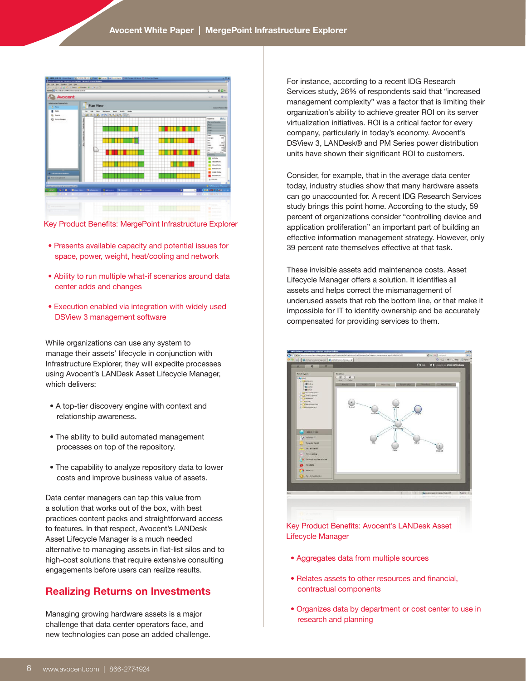

Key Product Benefits: MergePoint Infrastructure Explorer

- Presents available capacity and potential issues for space, power, weight, heat/cooling and network
- Ability to run multiple what-if scenarios around data center adds and changes
- Execution enabled via integration with widely used DSView 3 management software

While organizations can use any system to manage their assets' lifecycle in conjunction with Infrastructure Explorer, they will expedite processes using Avocent's LANDesk Asset Lifecycle Manager, which delivers:

- A top-tier discovery engine with context and relationship awareness.
- The ability to build automated management processes on top of the repository.
- The capability to analyze repository data to lower costs and improve business value of assets.

Data center managers can tap this value from a solution that works out of the box, with best practices content packs and straightforward access to features. In that respect, Avocent's LANDesk Asset Lifecycle Manager is a much needed alternative to managing assets in flat-list silos and to high-cost solutions that require extensive consulting engagements before users can realize results.

# **Realizing Returns on Investments**

Managing growing hardware assets is a major challenge that data center operators face, and new technologies can pose an added challenge.

For instance, according to a recent IDG Research Services study, 26% of respondents said that "increased management complexity" was a factor that is limiting their organization's ability to achieve greater ROI on its server virtualization initiatives. ROI is a critical factor for every company, particularly in today's economy. Avocent's DSView 3, LANDesk® and PM Series power distribution units have shown their significant ROI to customers.

Consider, for example, that in the average data center today, industry studies show that many hardware assets can go unaccounted for. A recent IDG Research Services study brings this point home. According to the study, 59 percent of organizations consider "controlling device and application proliferation" an important part of building an effective information management strategy. However, only 39 percent rate themselves effective at that task.

These invisible assets add maintenance costs. Asset Lifecycle Manager offers a solution. It identifies all assets and helps correct the mismanagement of underused assets that rob the bottom line, or that make it impossible for IT to identify ownership and be accurately compensated for providing services to them.



Key Product Benefits: Avocent's LANDesk Asset Lifecycle Manager

- Aggregates data from multiple sources
- Relates assets to other resources and financial, contractual components
- Organizes data by department or cost center to use in research and planning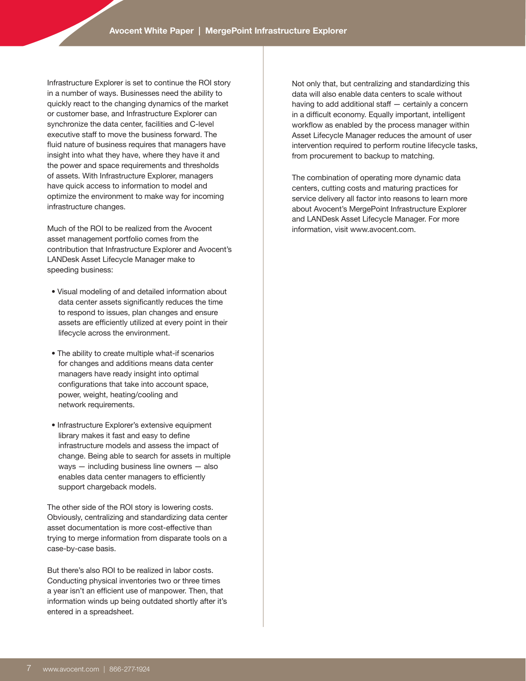Infrastructure Explorer is set to continue the ROI story in a number of ways. Businesses need the ability to quickly react to the changing dynamics of the market or customer base, and Infrastructure Explorer can synchronize the data center, facilities and C-level executive staff to move the business forward. The fluid nature of business requires that managers have insight into what they have, where they have it and the power and space requirements and thresholds of assets. With Infrastructure Explorer, managers have quick access to information to model and optimize the environment to make way for incoming infrastructure changes.

Much of the ROI to be realized from the Avocent asset management portfolio comes from the contribution that Infrastructure Explorer and Avocent's LANDesk Asset Lifecycle Manager make to speeding business:

- Visual modeling of and detailed information about data center assets significantly reduces the time to respond to issues, plan changes and ensure assets are efficiently utilized at every point in their lifecycle across the environment.
- The ability to create multiple what-if scenarios for changes and additions means data center managers have ready insight into optimal configurations that take into account space, power, weight, heating/cooling and network requirements.
- Infrastructure Explorer's extensive equipment library makes it fast and easy to define infrastructure models and assess the impact of change. Being able to search for assets in multiple ways — including business line owners — also enables data center managers to efficiently support chargeback models.

The other side of the ROI story is lowering costs. Obviously, centralizing and standardizing data center asset documentation is more cost-effective than trying to merge information from disparate tools on a case-by-case basis.

But there's also ROI to be realized in labor costs. Conducting physical inventories two or three times a year isn't an efficient use of manpower. Then, that information winds up being outdated shortly after it's entered in a spreadsheet.

Not only that, but centralizing and standardizing this data will also enable data centers to scale without having to add additional staff — certainly a concern in a difficult economy. Equally important, intelligent workflow as enabled by the process manager within Asset Lifecycle Manager reduces the amount of user intervention required to perform routine lifecycle tasks, from procurement to backup to matching.

The combination of operating more dynamic data centers, cutting costs and maturing practices for service delivery all factor into reasons to learn more about Avocent's MergePoint Infrastructure Explorer and LANDesk Asset Lifecycle Manager. For more information, visit www.avocent.com.